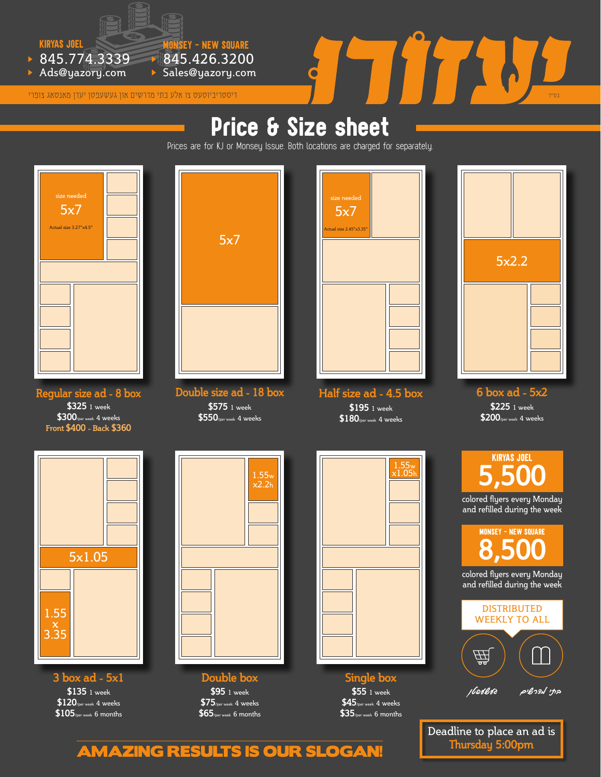

845.774.3339

Ads@yazory.com

# $\times$  845.774.3339  $\times$  845.426.3200<br>  $\times$  Ads@yazory.com  $\times$  Sales@yazory.com  $\overline{C}$  . Then subance of  $\overline{C}$  . Then subance of  $\overline{C}$  . Then subance of  $\overline{C}$  . Then subance of  $\overline{C}$  . Then  $\overline{C}$  . Then

## Price & Size sheet

Prices are for KJ or Monsey Issue. Both locations are charged for separately.



**Regular size ad - 8 box \$325** 1 week **\$300**/per week 4 weeks **Front \$400 - Back \$360**



845.426.3200 Sales@yazory.com

monsey - new square

**Double size ad - 18 box \$575** 1 week **\$550**/per week 4 weeks



**Half size ad - 4.5 box \$195** 1 week **\$180**/per week 4 weeks



**6 box ad - 5x2 \$225** 1 week **\$200**/per week 4 weeks



**3 box ad - 5x1 \$135** 1 week **\$120**/per week 4 weeks **\$105**/per week 6 months



**Double box \$95** 1 week **\$75**/per week 4 weeks **\$65**/per week 6 months



**Single box \$55** 1 week **\$45**/per week 4 weeks **\$35**/per week 6 months

kiryas joel **5,500** colored flyers every Monday and refilled during the week monsey - new square **8,500** colored flyers every Monday and refilled during the week DISTRIBUTED WEEKLY TO ALL 贷

**בתי מדרשים געשעפטן**

Deadline to place an ad is **Thursday 5:00pm**

#### AMAZING RESULTS IS OUR SLOGAN!